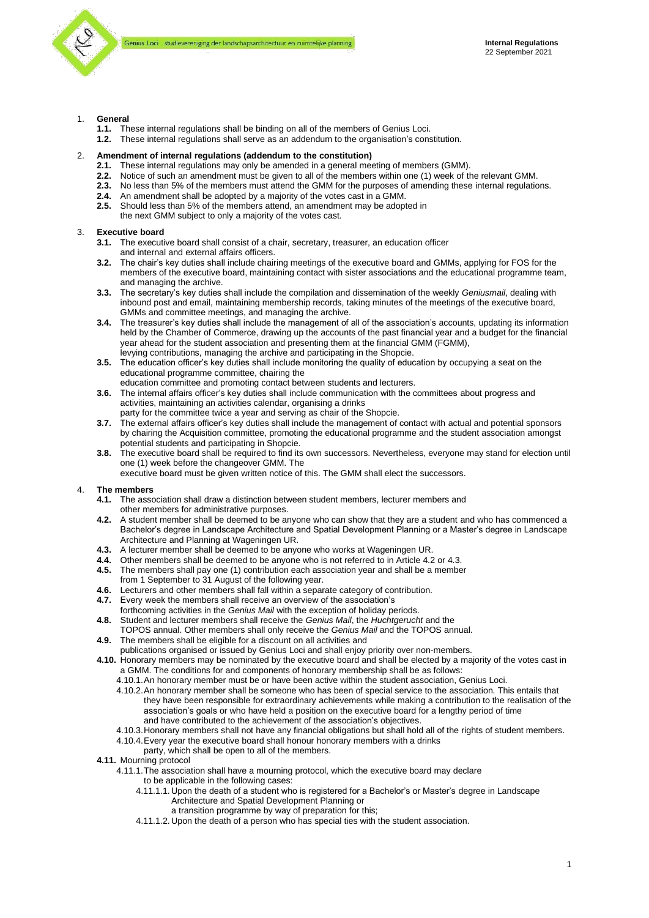

## 1. **General**

- **1.1.** These internal regulations shall be binding on all of the members of Genius Loci.
- **1.2.** These internal regulations shall serve as an addendum to the organisation's constitution.

#### 2. **Amendment of internal regulations (addendum to the constitution)**

- **2.1.** These internal regulations may only be amended in a general meeting of members (GMM).
- **2.2.** Notice of such an amendment must be given to all of the members within one (1) week of the relevant GMM.
- **2.3.** No less than 5% of the members must attend the GMM for the purposes of amending these internal regulations.
- **2.4.** An amendment shall be adopted by a majority of the votes cast in a GMM.
- **2.5.** Should less than 5% of the members attend, an amendment may be adopted in the next GMM subject to only a majority of the votes cast.

## 3. **Executive board**

**3.1.** The executive board shall consist of a chair, secretary, treasurer, an education officer and internal and external affairs officers.

- **3.2.** The chair's key duties shall include chairing meetings of the executive board and GMMs, applying for FOS for the members of the executive board, maintaining contact with sister associations and the educational programme team, and managing the archive.
- **3.3.** The secretary's key duties shall include the compilation and dissemination of the weekly *Geniusmail*, dealing with inbound post and email, maintaining membership records, taking minutes of the meetings of the executive board, GMMs and committee meetings, and managing the archive.
- **3.4.** The treasurer's key duties shall include the management of all of the association's accounts, updating its information held by the Chamber of Commerce, drawing up the accounts of the past financial year and a budget for the financial year ahead for the student association and presenting them at the financial GMM (FGMM), levying contributions, managing the archive and participating in the Shopcie.
- **3.5.** The education officer's key duties shall include monitoring the quality of education by occupying a seat on the educational programme committee, chairing the
- education committee and promoting contact between students and lecturers. **3.6.** The internal affairs officer's key duties shall include communication with the committees about progress and activities, maintaining an activities calendar, organising a drinks
- party for the committee twice a year and serving as chair of the Shopcie. **3.7.** The external affairs officer's key duties shall include the management of contact with actual and potential sponsors by chairing the Acquisition committee, promoting the educational programme and the student association amongst potential students and participating in Shopcie.
- **3.8.** The executive board shall be required to find its own successors. Nevertheless, everyone may stand for election until one (1) week before the changeover GMM. The
- executive board must be given written notice of this. The GMM shall elect the successors.

## 4. **The members**

- **4.1.** The association shall draw a distinction between student members, lecturer members and other members for administrative purposes.
- **4.2.** A student member shall be deemed to be anyone who can show that they are a student and who has commenced a Bachelor's degree in Landscape Architecture and Spatial Development Planning or a Master's degree in Landscape Architecture and Planning at Wageningen UR.
- **4.3.** A lecturer member shall be deemed to be anyone who works at Wageningen UR.
- **4.4.** Other members shall be deemed to be anyone who is not referred to in Article 4.2 or 4.3. **4.5.** The members shall pay one (1) contribution each association year and shall be a member
- from 1 September to 31 August of the following year.
- **4.6.** Lecturers and other members shall fall within a separate category of contribution.
- **4.7.** Every week the members shall receive an overview of the association's
- forthcoming activities in the *Genius Mail* with the exception of holiday periods.
- **4.8.** Student and lecturer members shall receive the *Genius Mail*, the *Huchtgerucht* and the TOPOS annual. Other members shall only receive the *Genius Mail* and the TOPOS annual.
- **4.9.** The members shall be eligible for a discount on all activities and
- publications organised or issued by Genius Loci and shall enjoy priority over non-members.
- **4.10.** Honorary members may be nominated by the executive board and shall be elected by a majority of the votes cast in a GMM. The conditions for and components of honorary membership shall be as follows:
	- 4.10.1.An honorary member must be or have been active within the student association, Genius Loci.
	- 4.10.2.An honorary member shall be someone who has been of special service to the association. This entails that they have been responsible for extraordinary achievements while making a contribution to the realisation of the association's goals or who have held a position on the executive board for a lengthy period of time and have contributed to the achievement of the association's objectives.
	- 4.10.3.Honorary members shall not have any financial obligations but shall hold all of the rights of student members.
	- 4.10.4.Every year the executive board shall honour honorary members with a drinks
	- party, which shall be open to all of the members.
- **4.11.** Mourning protocol
	- 4.11.1.The association shall have a mourning protocol, which the executive board may declare
		- to be applicable in the following cases:
			- 4.11.1.1. Upon the death of a student who is registered for a Bachelor's or Master's degree in Landscape Architecture and Spatial Development Planning or
				- a transition programme by way of preparation for this;
			- 4.11.1.2. Upon the death of a person who has special ties with the student association.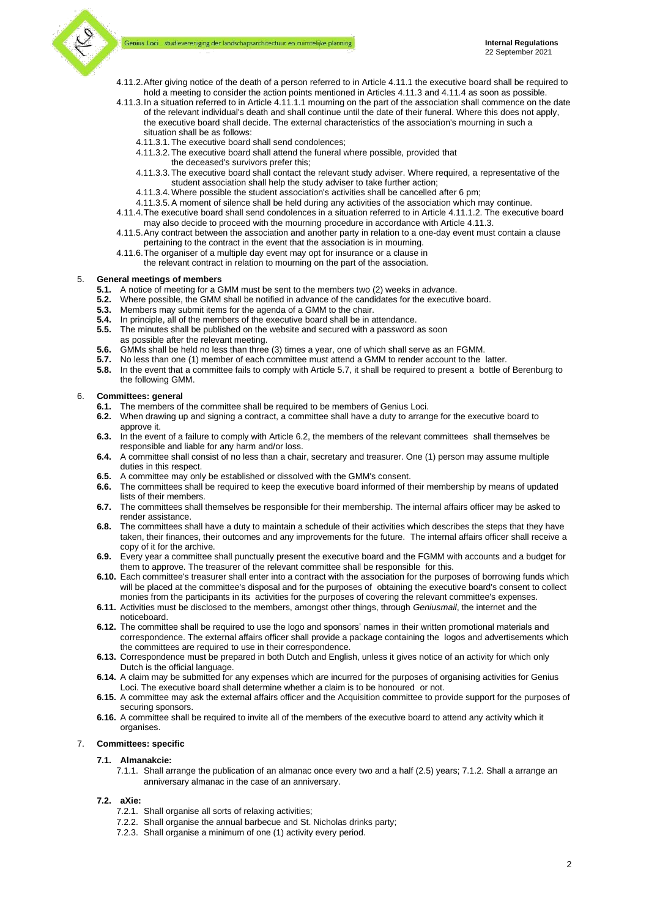#### Genius Loci studievereniging der landschapsarchitectuur en ruimtelijke planning



- 4.11.2.After giving notice of the death of a person referred to in Article 4.11.1 the executive board shall be required to hold a meeting to consider the action points mentioned in Articles 4.11.3 and 4.11.4 as soon as possible.
- 4.11.3.In a situation referred to in Article 4.11.1.1 mourning on the part of the association shall commence on the date of the relevant individual's death and shall continue until the date of their funeral. Where this does not apply, the executive board shall decide. The external characteristics of the association's mourning in such a situation shall be as follows:
	- 4.11.3.1. The executive board shall send condolences;
	- 4.11.3.2. The executive board shall attend the funeral where possible, provided that
		- the deceased's survivors prefer this;
	- 4.11.3.3. The executive board shall contact the relevant study adviser. Where required, a representative of the student association shall help the study adviser to take further action;
	- 4.11.3.4. Where possible the student association's activities shall be cancelled after 6 pm;
	- 4.11.3.5.A moment of silence shall be held during any activities of the association which may continue.
- 4.11.4.The executive board shall send condolences in a situation referred to in Article 4.11.1.2. The executive board may also decide to proceed with the mourning procedure in accordance with Article 4.11.3.
- 4.11.5.Any contract between the association and another party in relation to a one-day event must contain a clause pertaining to the contract in the event that the association is in mourning.
- 4.11.6.The organiser of a multiple day event may opt for insurance or a clause in the relevant contract in relation to mourning on the part of the association.

#### 5. **General meetings of members**

- **5.1.** A notice of meeting for a GMM must be sent to the members two (2) weeks in advance.
- **5.2.** Where possible, the GMM shall be notified in advance of the candidates for the executive board.
- **5.3.** Members may submit items for the agenda of a GMM to the chair.
- **5.4.** In principle, all of the members of the executive board shall be in attendance.
- **5.5.** The minutes shall be published on the website and secured with a password as soon as possible after the relevant meeting.
- **5.6.** GMMs shall be held no less than three (3) times a year, one of which shall serve as an FGMM.
- 
- **5.7.** No less than one (1) member of each committee must attend a GMM to render account to the latter.<br>**5.8.** In the event that a committee fails to comply with Article 5.7, it shall be required to present a bottle o **5.8.** In the event that a committee fails to comply with Article 5.7, it shall be required to present a bottle of Berenburg to the following GMM.

#### 6. **Committees: general**

- **6.1.** The members of the committee shall be required to be members of Genius Loci.<br>**6.2.** When drawing up and signing a contract a committee shall have a duty to arrange
- **6.2.** When drawing up and signing a contract, a committee shall have a duty to arrange for the executive board to approve it.
- **6.3.** In the event of a failure to comply with Article 6.2, the members of the relevant committees shall themselves be responsible and liable for any harm and/or loss.
- **6.4.** A committee shall consist of no less than a chair, secretary and treasurer. One (1) person may assume multiple duties in this respect.
- **6.5.** A committee may only be established or dissolved with the GMM's consent.
- **6.6.** The committees shall be required to keep the executive board informed of their membership by means of updated lists of their members.
- **6.7.** The committees shall themselves be responsible for their membership. The internal affairs officer may be asked to render assistance.
- **6.8.** The committees shall have a duty to maintain a schedule of their activities which describes the steps that they have taken, their finances, their outcomes and any improvements for the future. The internal affairs officer shall receive a copy of it for the archive.
- **6.9.** Every year a committee shall punctually present the executive board and the FGMM with accounts and a budget for them to approve. The treasurer of the relevant committee shall be responsible for this.
- **6.10.** Each committee's treasurer shall enter into a contract with the association for the purposes of borrowing funds which will be placed at the committee's disposal and for the purposes of obtaining the executive board's consent to collect monies from the participants in its activities for the purposes of covering the relevant committee's expenses.
- **6.11.** Activities must be disclosed to the members, amongst other things, through *Geniusmail*, the internet and the noticeboard.
- **6.12.** The committee shall be required to use the logo and sponsors' names in their written promotional materials and correspondence. The external affairs officer shall provide a package containing the logos and advertisements which the committees are required to use in their correspondence.
- **6.13.** Correspondence must be prepared in both Dutch and English, unless it gives notice of an activity for which only Dutch is the official language.
- **6.14.** A claim may be submitted for any expenses which are incurred for the purposes of organising activities for Genius Loci. The executive board shall determine whether a claim is to be honoured or not.
- **6.15.** A committee may ask the external affairs officer and the Acquisition committee to provide support for the purposes of securing sponsors.
- **6.16.** A committee shall be required to invite all of the members of the executive board to attend any activity which it organises.

### 7. **Committees: specific**

- **7.1. Almanakcie:**
	- 7.1.1. Shall arrange the publication of an almanac once every two and a half (2.5) years; 7.1.2. Shall a arrange an anniversary almanac in the case of an anniversary.

#### **7.2. aXie:**

- 7.2.1. Shall organise all sorts of relaxing activities;
- 7.2.2. Shall organise the annual barbecue and St. Nicholas drinks party;
- 7.2.3. Shall organise a minimum of one (1) activity every period.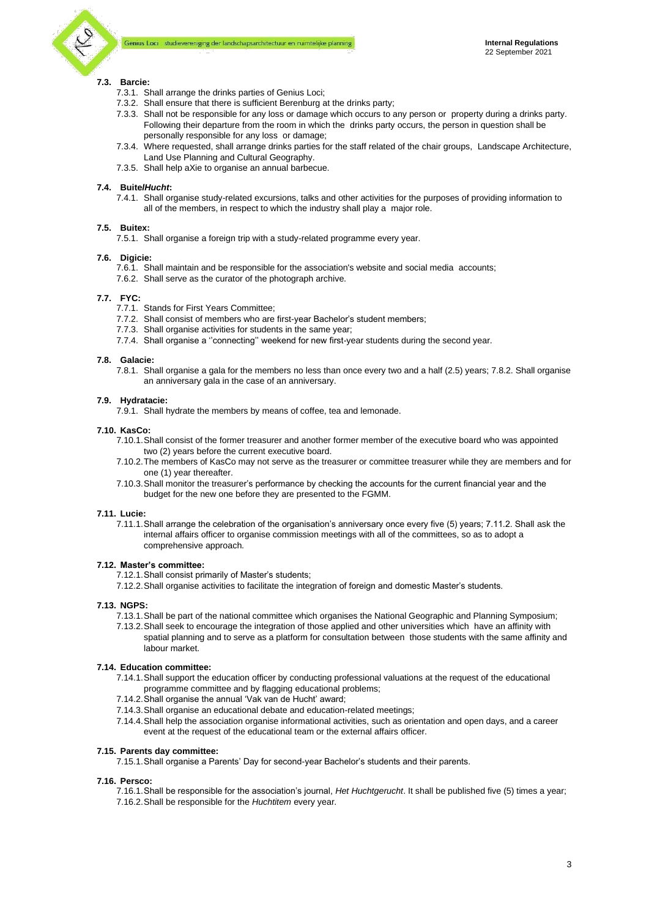# **7.3. Barcie:**

- 7.3.1. Shall arrange the drinks parties of Genius Loci;
- 7.3.2. Shall ensure that there is sufficient Berenburg at the drinks party;
- 7.3.3. Shall not be responsible for any loss or damage which occurs to any person or property during a drinks party. Following their departure from the room in which the drinks party occurs, the person in question shall be personally responsible for any loss or damage;
- 7.3.4. Where requested, shall arrange drinks parties for the staff related of the chair groups, Landscape Architecture, Land Use Planning and Cultural Geography.
- 7.3.5. Shall help aXie to organise an annual barbecue.

# **7.4. Buite***lHucht***:**

7.4.1. Shall organise study-related excursions, talks and other activities for the purposes of providing information to all of the members, in respect to which the industry shall play a major role.

# **7.5. Buitex:**

7.5.1. Shall organise a foreign trip with a study-related programme every year.

# **7.6. Digicie:**

- 7.6.1. Shall maintain and be responsible for the association's website and social media accounts;
- 7.6.2. Shall serve as the curator of the photograph archive.

# **7.7. FYC:**

- 7.7.1. Stands for First Years Committee;
- 7.7.2. Shall consist of members who are first-year Bachelor's student members;
- 7.7.3. Shall organise activities for students in the same year;
- 7.7.4. Shall organise a ''connecting'' weekend for new first-year students during the second year.

# **7.8. Galacie:**

7.8.1. Shall organise a gala for the members no less than once every two and a half (2.5) years; 7.8.2. Shall organise an anniversary gala in the case of an anniversary.

# **7.9. Hydratacie:**

7.9.1. Shall hydrate the members by means of coffee, tea and lemonade.

# **7.10. KasCo:**

- 7.10.1.Shall consist of the former treasurer and another former member of the executive board who was appointed two (2) years before the current executive board.
- 7.10.2.The members of KasCo may not serve as the treasurer or committee treasurer while they are members and for one (1) year thereafter.
- 7.10.3.Shall monitor the treasurer's performance by checking the accounts for the current financial year and the budget for the new one before they are presented to the FGMM.

# **7.11. Lucie:**

7.11.1.Shall arrange the celebration of the organisation's anniversary once every five (5) years; 7.11.2. Shall ask the internal affairs officer to organise commission meetings with all of the committees, so as to adopt a comprehensive approach.

# **7.12. Master's committee:**

- 7.12.1.Shall consist primarily of Master's students;
- 7.12.2.Shall organise activities to facilitate the integration of foreign and domestic Master's students.

# **7.13. NGPS:**

- 7.13.1.Shall be part of the national committee which organises the National Geographic and Planning Symposium;
- 7.13.2.Shall seek to encourage the integration of those applied and other universities which have an affinity with spatial planning and to serve as a platform for consultation between those students with the same affinity and labour market.

## **7.14. Education committee:**

- 7.14.1.Shall support the education officer by conducting professional valuations at the request of the educational programme committee and by flagging educational problems;
- 7.14.2.Shall organise the annual 'Vak van de Hucht' award;
- 7.14.3.Shall organise an educational debate and education-related meetings;
- 7.14.4.Shall help the association organise informational activities, such as orientation and open days, and a career event at the request of the educational team or the external affairs officer.

# **7.15. Parents day committee:**

7.15.1.Shall organise a Parents' Day for second-year Bachelor's students and their parents.

### **7.16. Persco:**

7.16.1.Shall be responsible for the association's journal, *Het Huchtgerucht*. It shall be published five (5) times a year; 7.16.2.Shall be responsible for the *Huchtitem* every year.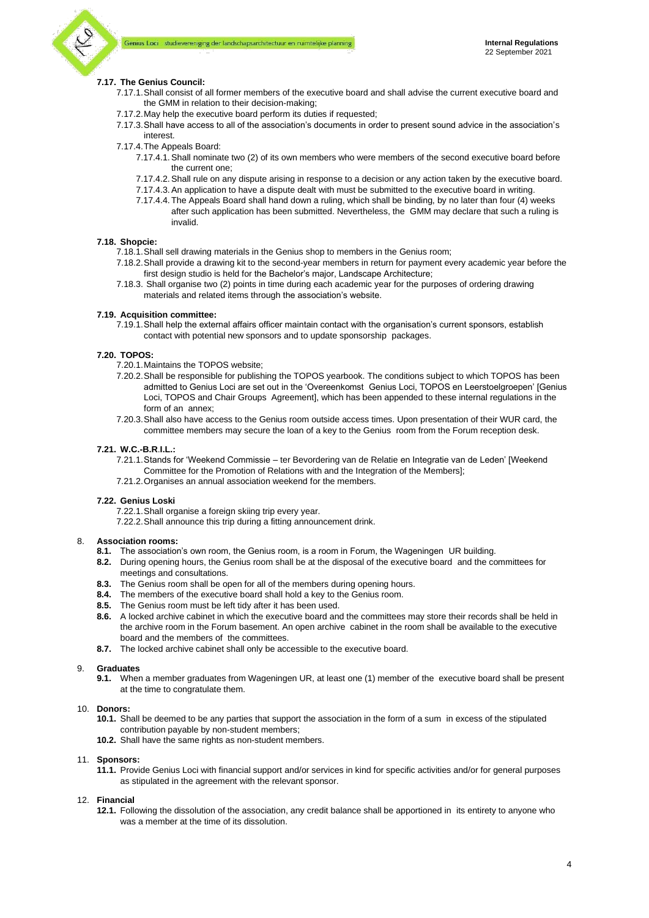

## **7.17. The Genius Council:**

- 7.17.1.Shall consist of all former members of the executive board and shall advise the current executive board and the GMM in relation to their decision-making;
- 7.17.2.May help the executive board perform its duties if requested;
- 7.17.3.Shall have access to all of the association's documents in order to present sound advice in the association's interest.
- 7.17.4.The Appeals Board:
	- 7.17.4.1.Shall nominate two (2) of its own members who were members of the second executive board before the current one;
	- 7.17.4.2.Shall rule on any dispute arising in response to a decision or any action taken by the executive board.
	- 7.17.4.3.An application to have a dispute dealt with must be submitted to the executive board in writing.
	- 7.17.4.4. The Appeals Board shall hand down a ruling, which shall be binding, by no later than four (4) weeks after such application has been submitted. Nevertheless, the GMM may declare that such a ruling is invalid.

#### **7.18. Shopcie:**

- 7.18.1.Shall sell drawing materials in the Genius shop to members in the Genius room;
- 7.18.2.Shall provide a drawing kit to the second-year members in return for payment every academic year before the first design studio is held for the Bachelor's major, Landscape Architecture;
- 7.18.3. Shall organise two (2) points in time during each academic year for the purposes of ordering drawing materials and related items through the association's website.

## **7.19. Acquisition committee:**

7.19.1.Shall help the external affairs officer maintain contact with the organisation's current sponsors, establish contact with potential new sponsors and to update sponsorship packages.

### **7.20. TOPOS:**

- 7.20.1.Maintains the TOPOS website;
- 7.20.2.Shall be responsible for publishing the TOPOS yearbook. The conditions subject to which TOPOS has been admitted to Genius Loci are set out in the 'Overeenkomst Genius Loci, TOPOS en Leerstoelgroepen' [Genius Loci, TOPOS and Chair Groups Agreement], which has been appended to these internal regulations in the form of an annex;
- 7.20.3.Shall also have access to the Genius room outside access times. Upon presentation of their WUR card, the committee members may secure the loan of a key to the Genius room from the Forum reception desk.

#### **7.21. W.C.-B.R**.**I.L.:**

- 7.21.1.Stands for 'Weekend Commissie ter Bevordering van de Relatie en Integratie van de Leden' [Weekend Committee for the Promotion of Relations with and the Integration of the Members];
- 7.21.2.Organises an annual association weekend for the members.

#### **7.22. Genius Loski**

- 7.22.1.Shall organise a foreign skiing trip every year.
- 7.22.2.Shall announce this trip during a fitting announcement drink.

## 8. **Association rooms:**

- **8.1.** The association's own room, the Genius room, is a room in Forum, the Wageningen UR building.
- **8.2.** During opening hours, the Genius room shall be at the disposal of the executive board and the committees for meetings and consultations.
- **8.3.** The Genius room shall be open for all of the members during opening hours.
- **8.4.** The members of the executive board shall hold a key to the Genius room.
- **8.5.** The Genius room must be left tidy after it has been used.
- **8.6.** A locked archive cabinet in which the executive board and the committees may store their records shall be held in the archive room in the Forum basement. An open archive cabinet in the room shall be available to the executive board and the members of the committees.
- **8.7.** The locked archive cabinet shall only be accessible to the executive board.

#### 9. **Graduates**

**9.1.** When a member graduates from Wageningen UR, at least one (1) member of the executive board shall be present at the time to congratulate them.

#### 10. **Donors:**

- **10.1.** Shall be deemed to be any parties that support the association in the form of a sum in excess of the stipulated contribution payable by non-student members;
- **10.2.** Shall have the same rights as non-student members.

## 11. **Sponsors:**

**11.1.** Provide Genius Loci with financial support and/or services in kind for specific activities and/or for general purposes as stipulated in the agreement with the relevant sponsor.

#### 12. **Financial**

**12.1.** Following the dissolution of the association, any credit balance shall be apportioned in its entirety to anyone who was a member at the time of its dissolution